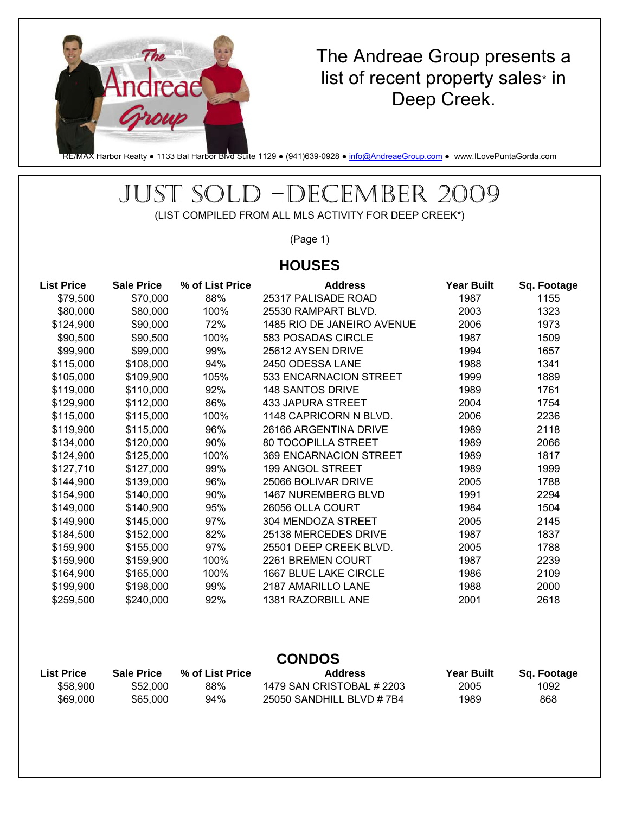

### The Andreae Group presents a list of recent property sales\* in Deep Creek.

RE/MAX Harbor Realty • 1133 Bal Harbor Blvd Suite 1129 • (941)639-0928 • info@AndreaeGroup.com • www.ILovePuntaGorda.com

# JUST SOLD –DECEMBER 2009

(LIST COMPILED FROM ALL MLS ACTIVITY FOR DEEP CREEK\*)

(Page 1)

#### **HOUSES**

| <b>List Price</b> | <b>Sale Price</b> | % of List Price | <b>Address</b>             | <b>Year Built</b> | Sq. Footage |
|-------------------|-------------------|-----------------|----------------------------|-------------------|-------------|
| \$79,500          | \$70,000          | 88%             | 25317 PALISADE ROAD        | 1987              | 1155        |
| \$80,000          | \$80,000          | 100%            | 25530 RAMPART BLVD.        | 2003              | 1323        |
| \$124,900         | \$90,000          | 72%             | 1485 RIO DE JANEIRO AVENUE | 2006              | 1973        |
| \$90,500          | \$90,500          | 100%            | 583 POSADAS CIRCLE         | 1987              | 1509        |
| \$99,900          | \$99,000          | 99%             | 25612 AYSEN DRIVE          | 1994              | 1657        |
| \$115,000         | \$108,000         | 94%             | 2450 ODESSA LANE           | 1988              | 1341        |
| \$105,000         | \$109,900         | 105%            | 533 ENCARNACION STREET     | 1999              | 1889        |
| \$119,000         | \$110,000         | 92%             | <b>148 SANTOS DRIVE</b>    | 1989              | 1761        |
| \$129,900         | \$112,000         | 86%             | 433 JAPURA STREET          | 2004              | 1754        |
| \$115,000         | \$115,000         | 100%            | 1148 CAPRICORN N BLVD.     | 2006              | 2236        |
| \$119,900         | \$115,000         | 96%             | 26166 ARGENTINA DRIVE      | 1989              | 2118        |
| \$134,000         | \$120,000         | 90%             | 80 TOCOPILLA STREET        | 1989              | 2066        |
| \$124,900         | \$125,000         | 100%            | 369 ENCARNACION STREET     | 1989              | 1817        |
| \$127,710         | \$127,000         | 99%             | 199 ANGOL STREET           | 1989              | 1999        |
| \$144,900         | \$139,000         | 96%             | 25066 BOLIVAR DRIVE        | 2005              | 1788        |
| \$154,900         | \$140,000         | 90%             | 1467 NUREMBERG BLVD        | 1991              | 2294        |
| \$149,000         | \$140,900         | 95%             | 26056 OLLA COURT           | 1984              | 1504        |
| \$149,900         | \$145,000         | 97%             | 304 MENDOZA STREET         | 2005              | 2145        |
| \$184,500         | \$152,000         | 82%             | 25138 MERCEDES DRIVE       | 1987              | 1837        |
| \$159,900         | \$155,000         | 97%             | 25501 DEEP CREEK BLVD.     | 2005              | 1788        |
| \$159,900         | \$159,900         | 100%            | 2261 BREMEN COURT          | 1987              | 2239        |
| \$164,900         | \$165,000         | 100%            | 1667 BLUE LAKE CIRCLE      | 1986              | 2109        |
| \$199,900         | \$198,000         | 99%             | 2187 AMARILLO LANE         | 1988              | 2000        |
| \$259,500         | \$240,000         | 92%             | 1381 RAZORBILL ANE         | 2001              | 2618        |

#### **CONDOS**

| <b>List Price</b> | Sale Price | % of List Price | <b>Address</b>            | <b>Year Built</b> | Sg. Footage |
|-------------------|------------|-----------------|---------------------------|-------------------|-------------|
| \$58,900          | \$52,000   | 88%             | 1479 SAN CRISTOBAL # 2203 | 2005              | 1092        |
| \$69,000          | \$65,000   | 94%             | 25050 SANDHILL BLVD # 7B4 | 1989              | 868         |